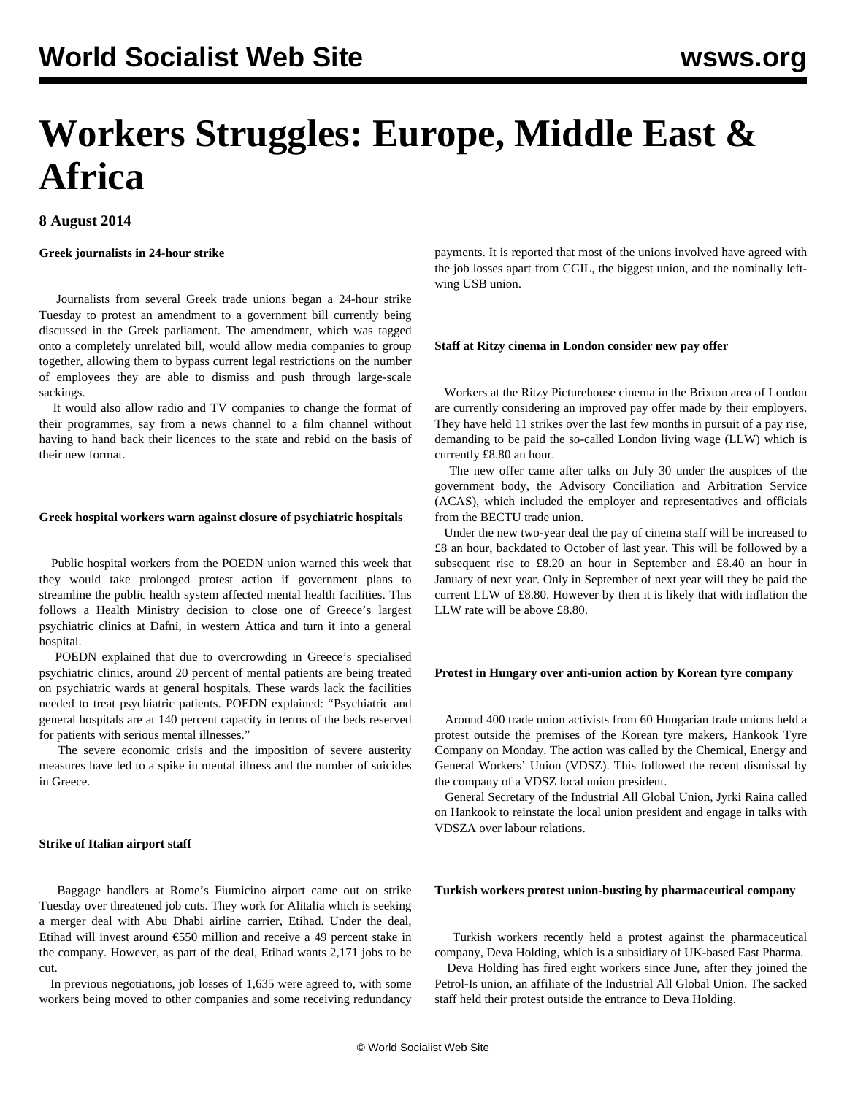# **Workers Struggles: Europe, Middle East & Africa**

## **8 August 2014**

### **Greek journalists in 24-hour strike**

 Journalists from several Greek trade unions began a 24-hour strike Tuesday to protest an amendment to a government bill currently being discussed in the Greek parliament. The amendment, which was tagged onto a completely unrelated bill, would allow media companies to group together, allowing them to bypass current legal restrictions on the number of employees they are able to dismiss and push through large-scale sackings.

 It would also allow radio and TV companies to change the format of their programmes, say from a news channel to a film channel without having to hand back their licences to the state and rebid on the basis of their new format.

#### **Greek hospital workers warn against closure of psychiatric hospitals**

 Public hospital workers from the POEDN union warned this week that they would take prolonged protest action if government plans to streamline the public health system affected mental health facilities. This follows a Health Ministry decision to close one of Greece's largest psychiatric clinics at Dafni, in western Attica and turn it into a general hospital.

 POEDN explained that due to overcrowding in Greece's specialised psychiatric clinics, around 20 percent of mental patients are being treated on psychiatric wards at general hospitals. These wards lack the facilities needed to treat psychiatric patients. POEDN explained: "Psychiatric and general hospitals are at 140 percent capacity in terms of the beds reserved for patients with serious mental illnesses."

 The severe economic crisis and the imposition of severe austerity measures have led to a spike in mental illness and the number of suicides in Greece.

#### **Strike of Italian airport staff**

 Baggage handlers at Rome's Fiumicino airport came out on strike Tuesday over threatened job cuts. They work for Alitalia which is seeking a merger deal with Abu Dhabi airline carrier, Etihad. Under the deal, Etihad will invest around €550 million and receive a 49 percent stake in the company. However, as part of the deal, Etihad wants 2,171 jobs to be cut.

 In previous negotiations, job losses of 1,635 were agreed to, with some workers being moved to other companies and some receiving redundancy

payments. It is reported that most of the unions involved have agreed with the job losses apart from CGIL, the biggest union, and the nominally leftwing USB union.

#### **Staff at Ritzy cinema in London consider new pay offer**

 Workers at the Ritzy Picturehouse cinema in the Brixton area of London are currently considering an improved pay offer made by their employers. They have held 11 strikes over the last few months in pursuit of a pay rise, demanding to be paid the so-called London living wage (LLW) which is currently £8.80 an hour.

 The new offer came after talks on July 30 under the auspices of the government body, the Advisory Conciliation and Arbitration Service (ACAS), which included the employer and representatives and officials from the BECTU trade union.

 Under the new two-year deal the pay of cinema staff will be increased to £8 an hour, backdated to October of last year. This will be followed by a subsequent rise to £8.20 an hour in September and £8.40 an hour in January of next year. Only in September of next year will they be paid the current LLW of £8.80. However by then it is likely that with inflation the LLW rate will be above £8.80.

#### **Protest in Hungary over anti-union action by Korean tyre company**

 Around 400 trade union activists from 60 Hungarian trade unions held a protest outside the premises of the Korean tyre makers, Hankook Tyre Company on Monday. The action was called by the Chemical, Energy and General Workers' Union (VDSZ). This followed the recent dismissal by the company of a VDSZ local union president.

 General Secretary of the Industrial All Global Union, Jyrki Raina called on Hankook to reinstate the local union president and engage in talks with VDSZA over labour relations.

#### **Turkish workers protest union-busting by pharmaceutical company**

 Turkish workers recently held a protest against the pharmaceutical company, Deva Holding, which is a subsidiary of UK-based East Pharma.

 Deva Holding has fired eight workers since June, after they joined the Petrol-Is union, an affiliate of the Industrial All Global Union. The sacked staff held their protest outside the entrance to Deva Holding.